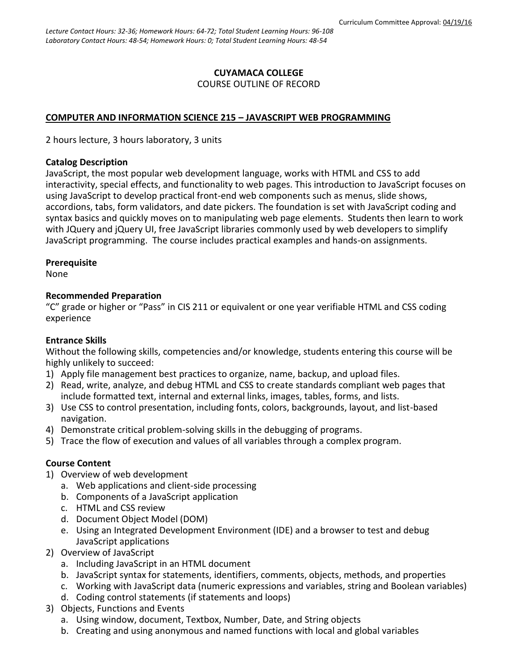## **CUYAMACA COLLEGE** COURSE OUTLINE OF RECORD

### **COMPUTER AND INFORMATION SCIENCE 215 – JAVASCRIPT WEB PROGRAMMING**

2 hours lecture, 3 hours laboratory, 3 units

### **Catalog Description**

JavaScript, the most popular web development language, works with HTML and CSS to add interactivity, special effects, and functionality to web pages. This introduction to JavaScript focuses on using JavaScript to develop practical front-end web components such as menus, slide shows, accordions, tabs, form validators, and date pickers. The foundation is set with JavaScript coding and syntax basics and quickly moves on to manipulating web page elements. Students then learn to work with JQuery and jQuery UI, free JavaScript libraries commonly used by web developers to simplify JavaScript programming. The course includes practical examples and hands-on assignments.

#### **Prerequisite**

None

### **Recommended Preparation**

"C" grade or higher or "Pass" in CIS 211 or equivalent or one year verifiable HTML and CSS coding experience

### **Entrance Skills**

Without the following skills, competencies and/or knowledge, students entering this course will be highly unlikely to succeed:

- 1) Apply file management best practices to organize, name, backup, and upload files.
- 2) Read, write, analyze, and debug HTML and CSS to create standards compliant web pages that include formatted text, internal and external links, images, tables, forms, and lists.
- 3) Use CSS to control presentation, including fonts, colors, backgrounds, layout, and list-based navigation.
- 4) Demonstrate critical problem-solving skills in the debugging of programs.
- 5) Trace the flow of execution and values of all variables through a complex program.

### **Course Content**

- 1) Overview of web development
	- a. Web applications and client-side processing
	- b. Components of a JavaScript application
	- c. HTML and CSS review
	- d. Document Object Model (DOM)
	- e. Using an Integrated Development Environment (IDE) and a browser to test and debug JavaScript applications
- 2) Overview of JavaScript
	- a. Including JavaScript in an HTML document
	- b. JavaScript syntax for statements, identifiers, comments, objects, methods, and properties
	- c. Working with JavaScript data (numeric expressions and variables, string and Boolean variables)
	- d. Coding control statements (if statements and loops)
- 3) Objects, Functions and Events
	- a. Using window, document, Textbox, Number, Date, and String objects
	- b. Creating and using anonymous and named functions with local and global variables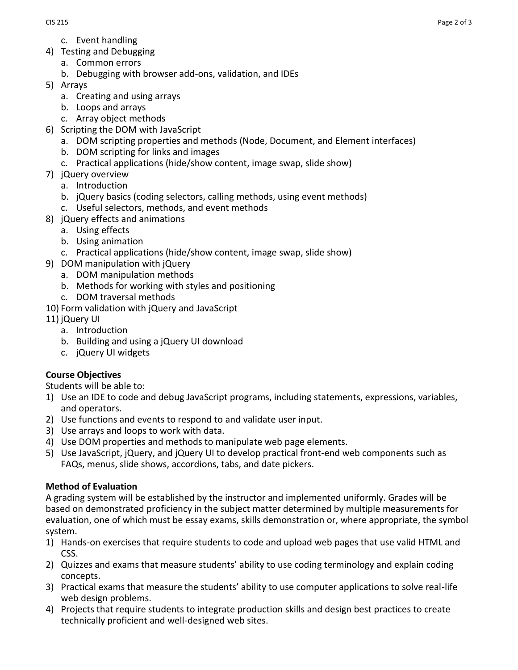- c. Event handling
- 4) Testing and Debugging
	- a. Common errors
	- b. Debugging with browser add-ons, validation, and IDEs
- 5) Arrays
	- a. Creating and using arrays
	- b. Loops and arrays
	- c. Array object methods
- 6) Scripting the DOM with JavaScript
	- a. DOM scripting properties and methods (Node, Document, and Element interfaces)
	- b. DOM scripting for links and images
	- c. Practical applications (hide/show content, image swap, slide show)
- 7) jQuery overview
	- a. Introduction
	- b. jQuery basics (coding selectors, calling methods, using event methods)
	- c. Useful selectors, methods, and event methods
- 8) jQuery effects and animations
	- a. Using effects
	- b. Using animation
	- c. Practical applications (hide/show content, image swap, slide show)
- 9) DOM manipulation with jQuery
	- a. DOM manipulation methods
	- b. Methods for working with styles and positioning
	- c. DOM traversal methods
- 10) Form validation with jQuery and JavaScript
- 11) jQuery UI
	- a. Introduction
	- b. Building and using a jQuery UI download
	- c. jQuery UI widgets

# **Course Objectives**

Students will be able to:

- 1) Use an IDE to code and debug JavaScript programs, including statements, expressions, variables, and operators.
- 2) Use functions and events to respond to and validate user input.
- 3) Use arrays and loops to work with data.
- 4) Use DOM properties and methods to manipulate web page elements.
- 5) Use JavaScript, jQuery, and jQuery UI to develop practical front-end web components such as FAQs, menus, slide shows, accordions, tabs, and date pickers.

# **Method of Evaluation**

A grading system will be established by the instructor and implemented uniformly. Grades will be based on demonstrated proficiency in the subject matter determined by multiple measurements for evaluation, one of which must be essay exams, skills demonstration or, where appropriate, the symbol system.

- 1) Hands-on exercises that require students to code and upload web pages that use valid HTML and CSS.
- 2) Quizzes and exams that measure students' ability to use coding terminology and explain coding concepts.
- 3) Practical exams that measure the students' ability to use computer applications to solve real-life web design problems.
- 4) Projects that require students to integrate production skills and design best practices to create technically proficient and well-designed web sites.